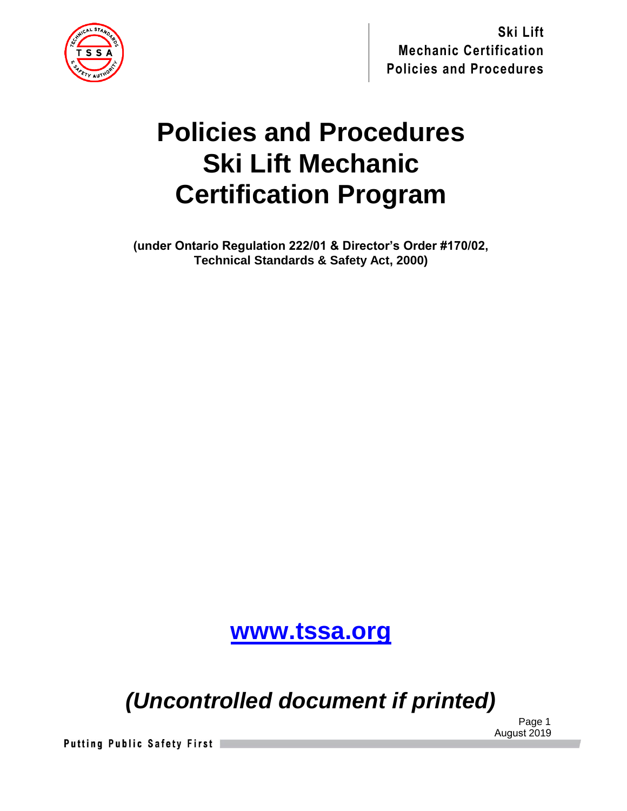

# **Policies and Procedures Ski Lift Mechanic Certification Program**

**(under Ontario Regulation 222/01 & Director's Order #170/02, Technical Standards & Safety Act, 2000)**

**[www.tssa.org](http://www.tssa.org/)**

*(Uncontrolled document if printed)*

 Page 1 August 2019

**Putting Public Safety First**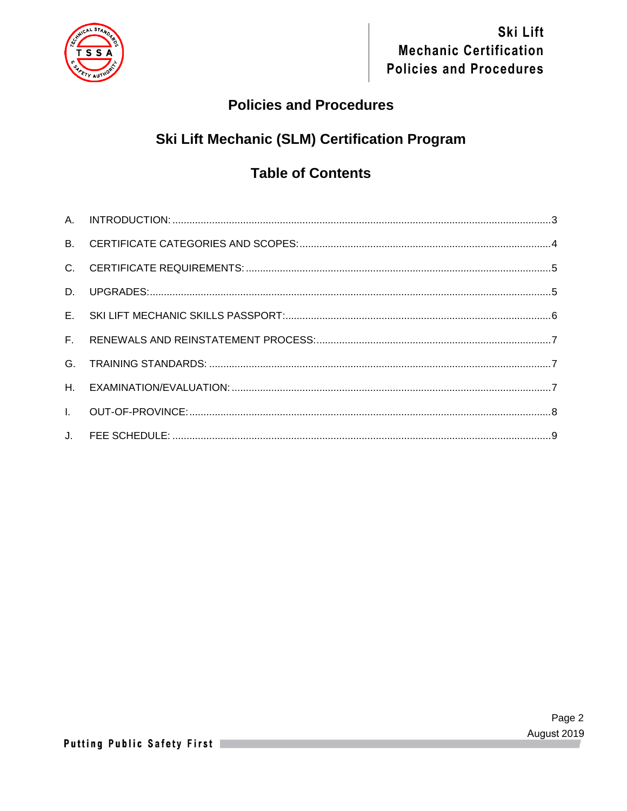

### **Policies and Procedures**

# **Ski Lift Mechanic (SLM) Certification Program**

## **Table of Contents**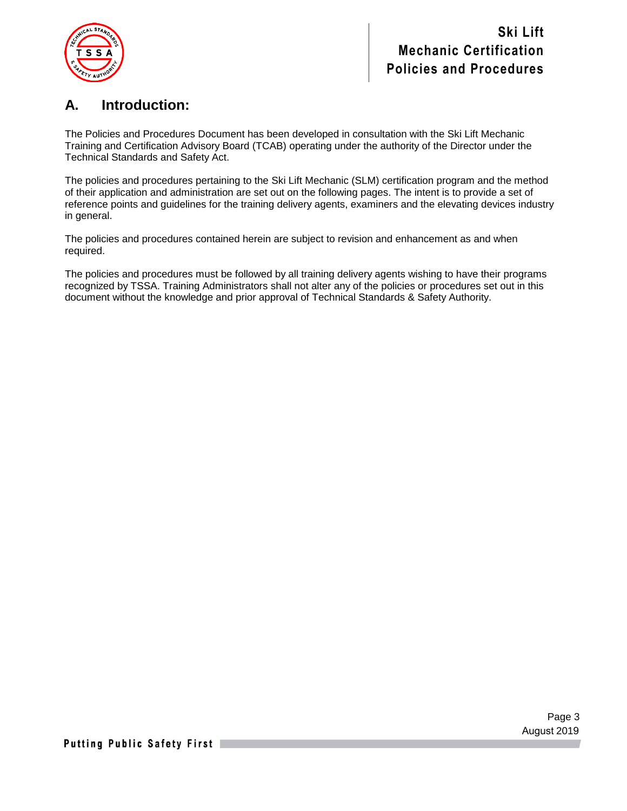

### **A. Introduction:**

The Policies and Procedures Document has been developed in consultation with the Ski Lift Mechanic Training and Certification Advisory Board (TCAB) operating under the authority of the Director under the Technical Standards and Safety Act.

The policies and procedures pertaining to the Ski Lift Mechanic (SLM) certification program and the method of their application and administration are set out on the following pages. The intent is to provide a set of reference points and guidelines for the training delivery agents, examiners and the elevating devices industry in general.

The policies and procedures contained herein are subject to revision and enhancement as and when required.

The policies and procedures must be followed by all training delivery agents wishing to have their programs recognized by TSSA. Training Administrators shall not alter any of the policies or procedures set out in this document without the knowledge and prior approval of Technical Standards & Safety Authority.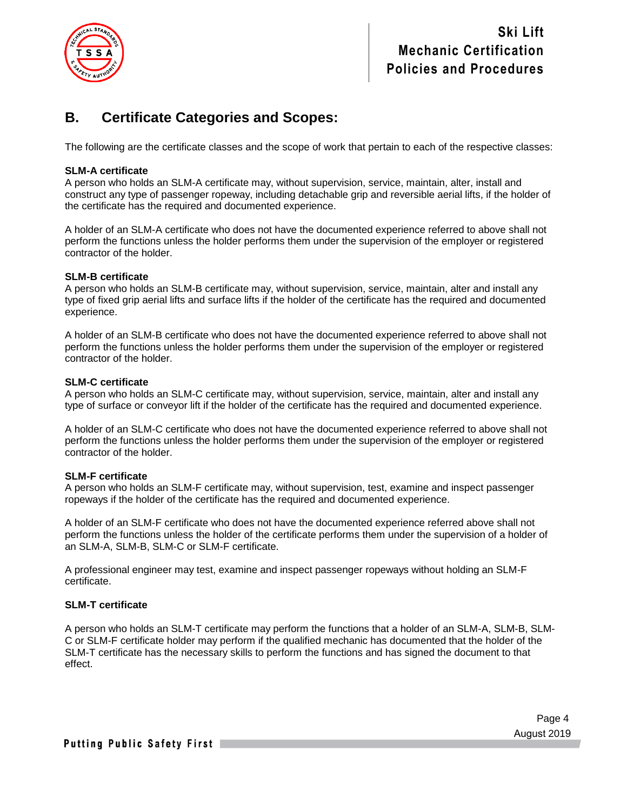

### **B. Certificate Categories and Scopes:**

The following are the certificate classes and the scope of work that pertain to each of the respective classes:

#### **SLM-A certificate**

A person who holds an SLM-A certificate may, without supervision, service, maintain, alter, install and construct any type of passenger ropeway, including detachable grip and reversible aerial lifts, if the holder of the certificate has the required and documented experience.

A holder of an SLM-A certificate who does not have the documented experience referred to above shall not perform the functions unless the holder performs them under the supervision of the employer or registered contractor of the holder.

#### **SLM-B certificate**

A person who holds an SLM-B certificate may, without supervision, service, maintain, alter and install any type of fixed grip aerial lifts and surface lifts if the holder of the certificate has the required and documented experience.

A holder of an SLM-B certificate who does not have the documented experience referred to above shall not perform the functions unless the holder performs them under the supervision of the employer or registered contractor of the holder.

#### **SLM-C certificate**

A person who holds an SLM-C certificate may, without supervision, service, maintain, alter and install any type of surface or conveyor lift if the holder of the certificate has the required and documented experience.

A holder of an SLM-C certificate who does not have the documented experience referred to above shall not perform the functions unless the holder performs them under the supervision of the employer or registered contractor of the holder.

#### **SLM-F certificate**

A person who holds an SLM-F certificate may, without supervision, test, examine and inspect passenger ropeways if the holder of the certificate has the required and documented experience.

A holder of an SLM-F certificate who does not have the documented experience referred above shall not perform the functions unless the holder of the certificate performs them under the supervision of a holder of an SLM-A, SLM-B, SLM-C or SLM-F certificate.

A professional engineer may test, examine and inspect passenger ropeways without holding an SLM-F certificate.

#### **SLM-T certificate**

A person who holds an SLM-T certificate may perform the functions that a holder of an SLM-A, SLM-B, SLM-C or SLM-F certificate holder may perform if the qualified mechanic has documented that the holder of the SLM-T certificate has the necessary skills to perform the functions and has signed the document to that effect.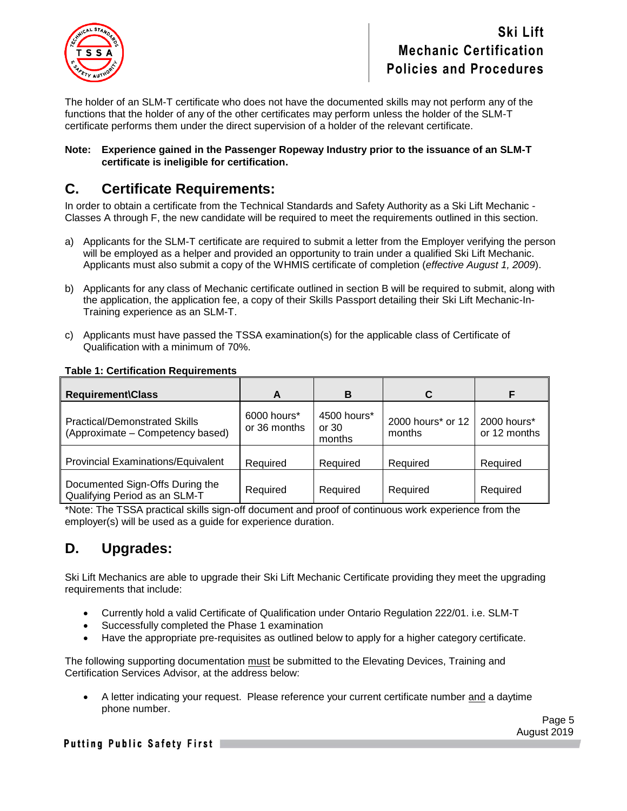

The holder of an SLM-T certificate who does not have the documented skills may not perform any of the functions that the holder of any of the other certificates may perform unless the holder of the SLM-T certificate performs them under the direct supervision of a holder of the relevant certificate.

#### **Note: Experience gained in the Passenger Ropeway Industry prior to the issuance of an SLM-T certificate is ineligible for certification.**

### **C. Certificate Requirements:**

In order to obtain a certificate from the Technical Standards and Safety Authority as a Ski Lift Mechanic - Classes A through F, the new candidate will be required to meet the requirements outlined in this section.

- a) Applicants for the SLM-T certificate are required to submit a letter from the Employer verifying the person will be employed as a helper and provided an opportunity to train under a qualified Ski Lift Mechanic. Applicants must also submit a copy of the WHMIS certificate of completion (*effective August 1, 2009*).
- b) Applicants for any class of Mechanic certificate outlined in section B will be required to submit, along with the application, the application fee, a copy of their Skills Passport detailing their Ski Lift Mechanic-In-Training experience as an SLM-T.
- c) Applicants must have passed the TSSA examination(s) for the applicable class of Certificate of Qualification with a minimum of 70%.

| <b>Requirement\Class</b>                                                 | A                           | в                                | C                           |                             |
|--------------------------------------------------------------------------|-----------------------------|----------------------------------|-----------------------------|-----------------------------|
| <b>Practical/Demonstrated Skills</b><br>(Approximate – Competency based) | 6000 hours*<br>or 36 months | 4500 hours*<br>or $30$<br>months | 2000 hours* or 12<br>months | 2000 hours*<br>or 12 months |
| <b>Provincial Examinations/Equivalent</b>                                | Required                    | Required                         | Required                    | Required                    |
| Documented Sign-Offs During the<br>Qualifying Period as an SLM-T         | Required                    | Required                         | Required                    | Required                    |

### **Table 1: Certification Requirements**

\*Note: The TSSA practical skills sign-off document and proof of continuous work experience from the employer(s) will be used as a guide for experience duration.

### **D. Upgrades:**

Ski Lift Mechanics are able to upgrade their Ski Lift Mechanic Certificate providing they meet the upgrading requirements that include:

- Currently hold a valid Certificate of Qualification under Ontario Regulation 222/01. i.e. SLM-T
- Successfully completed the Phase 1 examination
- Have the appropriate pre-requisites as outlined below to apply for a higher category certificate.

The following supporting documentation must be submitted to the Elevating Devices, Training and Certification Services Advisor, at the address below:

• A letter indicating your request. Please reference your current certificate number and a daytime phone number.

Page 5 August 2019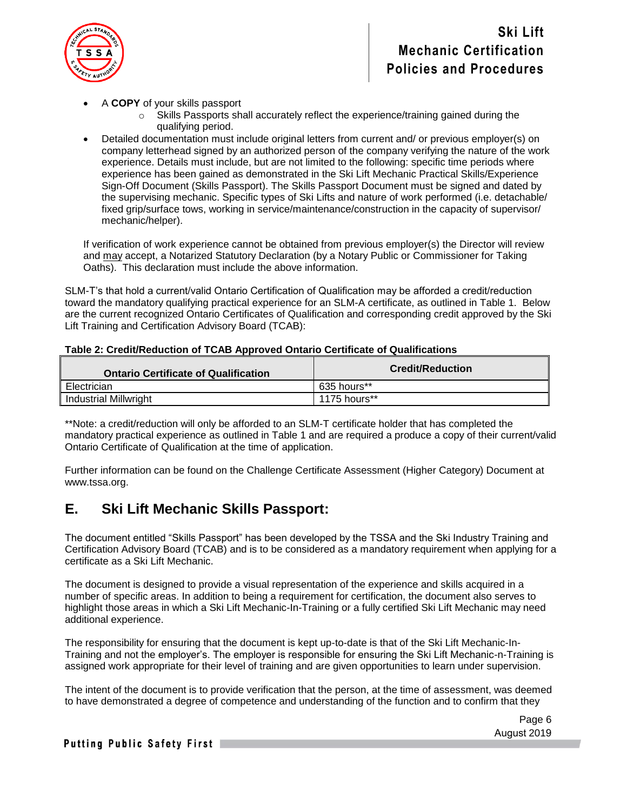

- A **COPY** of your skills passport
	- $\circ$  Skills Passports shall accurately reflect the experience/training gained during the qualifying period.
- Detailed documentation must include original letters from current and/ or previous employer(s) on company letterhead signed by an authorized person of the company verifying the nature of the work experience. Details must include, but are not limited to the following: specific time periods where experience has been gained as demonstrated in the Ski Lift Mechanic Practical Skills/Experience Sign-Off Document (Skills Passport). The Skills Passport Document must be signed and dated by the supervising mechanic. Specific types of Ski Lifts and nature of work performed (i.e. detachable/ fixed grip/surface tows, working in service/maintenance/construction in the capacity of supervisor/ mechanic/helper).

If verification of work experience cannot be obtained from previous employer(s) the Director will review and may accept, a Notarized Statutory Declaration (by a Notary Public or Commissioner for Taking Oaths). This declaration must include the above information.

SLM-T's that hold a current/valid Ontario Certification of Qualification may be afforded a credit/reduction toward the mandatory qualifying practical experience for an SLM-A certificate, as outlined in Table 1. Below are the current recognized Ontario Certificates of Qualification and corresponding credit approved by the Ski Lift Training and Certification Advisory Board (TCAB):

| <b>Ontario Certificate of Qualification</b> | <b>Credit/Reduction</b> |
|---------------------------------------------|-------------------------|
| Electrician                                 | 635 hours**             |
| Industrial Millwright                       | 1175 hours**            |

#### **Table 2: Credit/Reduction of TCAB Approved Ontario Certificate of Qualifications**

\*\*Note: a credit/reduction will only be afforded to an SLM-T certificate holder that has completed the mandatory practical experience as outlined in Table 1 and are required a produce a copy of their current/valid Ontario Certificate of Qualification at the time of application.

Further information can be found on the Challenge Certificate Assessment (Higher Category) Document at www.tssa.org.

### **E. Ski Lift Mechanic Skills Passport:**

The document entitled "Skills Passport" has been developed by the TSSA and the Ski Industry Training and Certification Advisory Board (TCAB) and is to be considered as a mandatory requirement when applying for a certificate as a Ski Lift Mechanic.

The document is designed to provide a visual representation of the experience and skills acquired in a number of specific areas. In addition to being a requirement for certification, the document also serves to highlight those areas in which a Ski Lift Mechanic-In-Training or a fully certified Ski Lift Mechanic may need additional experience.

The responsibility for ensuring that the document is kept up-to-date is that of the Ski Lift Mechanic-In-Training and not the employer's. The employer is responsible for ensuring the Ski Lift Mechanic-n-Training is assigned work appropriate for their level of training and are given opportunities to learn under supervision.

The intent of the document is to provide verification that the person, at the time of assessment, was deemed to have demonstrated a degree of competence and understanding of the function and to confirm that they

> Page 6 August 2019

### Putting Public Safety First |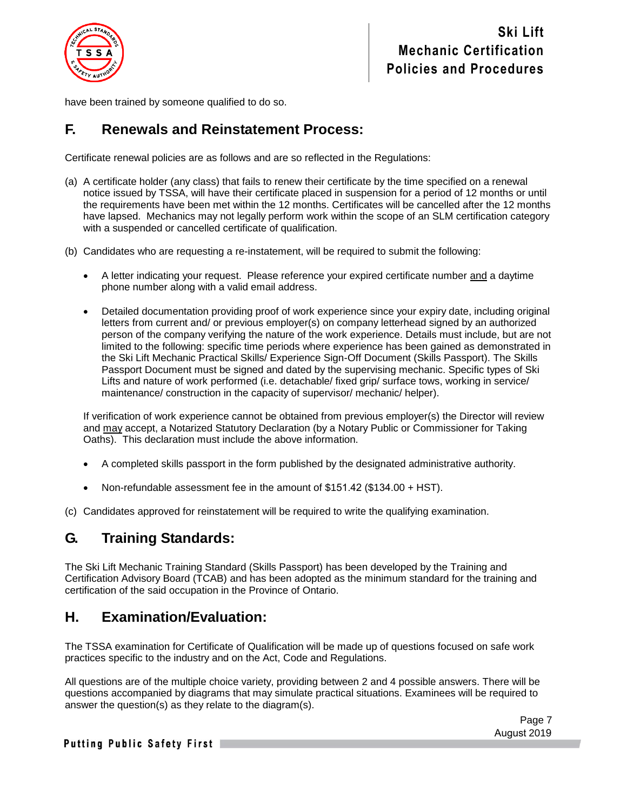

have been trained by someone qualified to do so.

### **F. Renewals and Reinstatement Process:**

Certificate renewal policies are as follows and are so reflected in the Regulations:

- (a) A certificate holder (any class) that fails to renew their certificate by the time specified on a renewal notice issued by TSSA, will have their certificate placed in suspension for a period of 12 months or until the requirements have been met within the 12 months. Certificates will be cancelled after the 12 months have lapsed. Mechanics may not legally perform work within the scope of an SLM certification category with a suspended or cancelled certificate of qualification.
- (b) Candidates who are requesting a re-instatement, will be required to submit the following:
	- A letter indicating your request. Please reference your expired certificate number and a daytime phone number along with a valid email address.
	- Detailed documentation providing proof of work experience since your expiry date, including original letters from current and/ or previous employer(s) on company letterhead signed by an authorized person of the company verifying the nature of the work experience. Details must include, but are not limited to the following: specific time periods where experience has been gained as demonstrated in the Ski Lift Mechanic Practical Skills/ Experience Sign-Off Document (Skills Passport). The Skills Passport Document must be signed and dated by the supervising mechanic. Specific types of Ski Lifts and nature of work performed (i.e. detachable/ fixed grip/ surface tows, working in service/ maintenance/ construction in the capacity of supervisor/ mechanic/ helper).

If verification of work experience cannot be obtained from previous employer(s) the Director will review and may accept, a Notarized Statutory Declaration (by a Notary Public or Commissioner for Taking Oaths). This declaration must include the above information.

- A completed skills passport in the form published by the designated administrative authority.
- Non-refundable assessment fee in the amount of \$151.42 (\$134.00 + HST).

(c) Candidates approved for reinstatement will be required to write the qualifying examination.

### **G. Training Standards:**

The Ski Lift Mechanic Training Standard (Skills Passport) has been developed by the Training and Certification Advisory Board (TCAB) and has been adopted as the minimum standard for the training and certification of the said occupation in the Province of Ontario.

### **H. Examination/Evaluation:**

The TSSA examination for Certificate of Qualification will be made up of questions focused on safe work practices specific to the industry and on the Act, Code and Regulations.

All questions are of the multiple choice variety, providing between 2 and 4 possible answers. There will be questions accompanied by diagrams that may simulate practical situations. Examinees will be required to answer the question(s) as they relate to the diagram(s).

> Page 7 August 2019

#### Putting Public Safety First |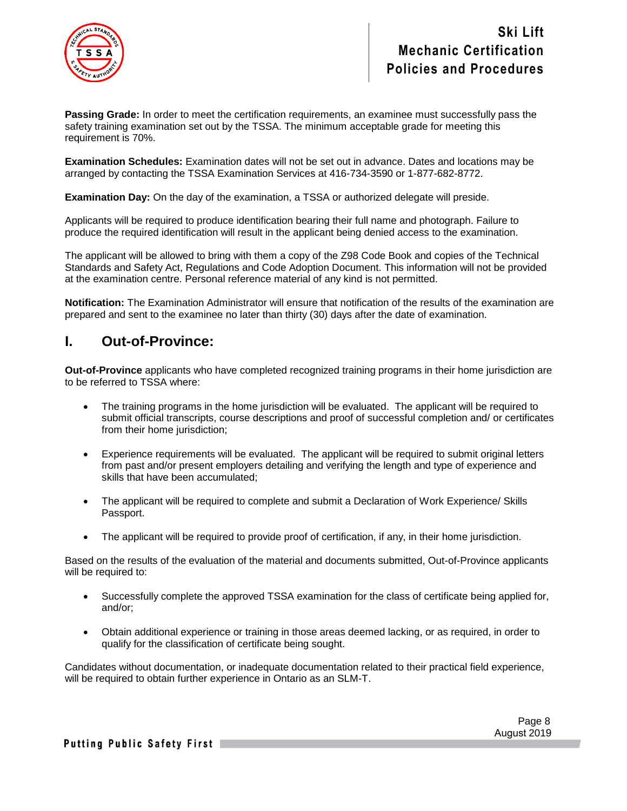

**Passing Grade:** In order to meet the certification requirements, an examinee must successfully pass the safety training examination set out by the TSSA. The minimum acceptable grade for meeting this requirement is 70%.

**Examination Schedules:** Examination dates will not be set out in advance. Dates and locations may be arranged by contacting the TSSA Examination Services at 416-734-3590 or 1-877-682-8772.

**Examination Day:** On the day of the examination, a TSSA or authorized delegate will preside.

Applicants will be required to produce identification bearing their full name and photograph. Failure to produce the required identification will result in the applicant being denied access to the examination.

The applicant will be allowed to bring with them a copy of the Z98 Code Book and copies of the Technical Standards and Safety Act, Regulations and Code Adoption Document. This information will not be provided at the examination centre. Personal reference material of any kind is not permitted.

**Notification:** The Examination Administrator will ensure that notification of the results of the examination are prepared and sent to the examinee no later than thirty (30) days after the date of examination.

### **I. Out-of-Province:**

**Out-of-Province** applicants who have completed recognized training programs in their home jurisdiction are to be referred to TSSA where:

- The training programs in the home jurisdiction will be evaluated. The applicant will be required to submit official transcripts, course descriptions and proof of successful completion and/ or certificates from their home jurisdiction:
- Experience requirements will be evaluated. The applicant will be required to submit original letters from past and/or present employers detailing and verifying the length and type of experience and skills that have been accumulated;
- The applicant will be required to complete and submit a Declaration of Work Experience/ Skills Passport.
- The applicant will be required to provide proof of certification, if any, in their home jurisdiction.

Based on the results of the evaluation of the material and documents submitted, Out-of-Province applicants will be required to:

- Successfully complete the approved TSSA examination for the class of certificate being applied for, and/or;
- Obtain additional experience or training in those areas deemed lacking, or as required, in order to qualify for the classification of certificate being sought.

Candidates without documentation, or inadequate documentation related to their practical field experience, will be required to obtain further experience in Ontario as an SLM-T.